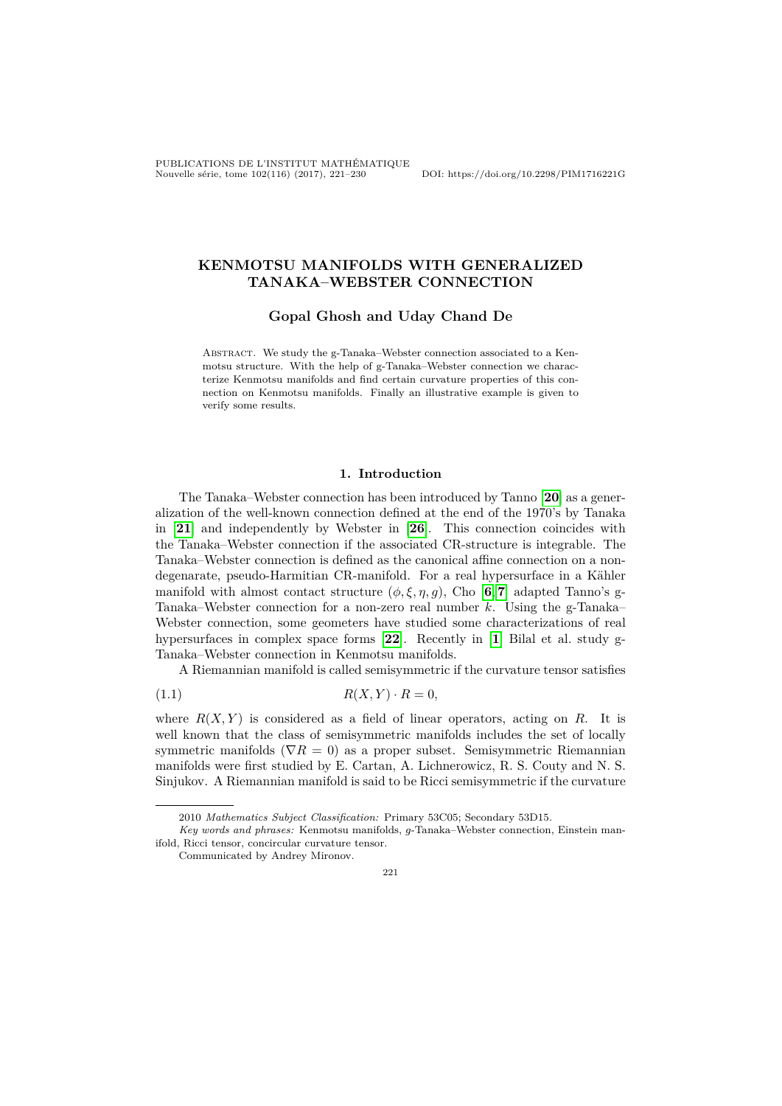PUBLICATIONS DE L'INSTITUT MATHÉMATIQUE Nouvelle série, tome 102(116) (2017), 221–230 DOI: https://doi.org/10.2298/PIM1716221G

# **KENMOTSU MANIFOLDS WITH GENERALIZED TANAKA–WEBSTER CONNECTION**

**Gopal Ghosh and Uday Chand De**

ABSTRACT. We study the g-Tanaka–Webster connection associated to a Kenmotsu structure. With the help of g-Tanaka–Webster connection we characterize Kenmotsu manifolds and find certain curvature properties of this connection on Kenmotsu manifolds. Finally an illustrative example is given to verify some results.

### **1. Introduction**

The Tanaka–Webster connection has been introduced by Tanno [**[20](#page-9-0)**] as a generalization of the well-known connection defined at the end of the 1970's by Tanaka in [**[21](#page-9-1)**] and independently by Webster in [**[26](#page-9-2)**]. This connection coincides with the Tanaka–Webster connection if the associated CR-structure is integrable. The Tanaka–Webster connection is defined as the canonical affine connection on a nondegenarate, pseudo-Harmitian CR-manifold. For a real hypersurface in a Kähler manifold with almost contact structure  $(\phi, \xi, \eta, g)$ , Cho [[6](#page-9-3),[7](#page-9-4)] adapted Tanno's g-Tanaka–Webster connection for a non-zero real number  $k$ . Using the g-Tanaka– Webster connection, some geometers have studied some characterizations of real hypersurfaces in complex space forms [**[22](#page-9-5)**]. Recently in [**[1](#page-8-0)**] Bilal et al. study g-Tanaka–Webster connection in Kenmotsu manifolds.

<span id="page-0-0"></span>A Riemannian manifold is called semisymmetric if the curvature tensor satisfies

$$
(1.1) \t R(X,Y) \cdot R = 0,
$$

where  $R(X, Y)$  is considered as a field of linear operators, acting on R. It is well known that the class of semisymmetric manifolds includes the set of locally symmetric manifolds ( $\nabla R = 0$ ) as a proper subset. Semisymmetric Riemannian manifolds were first studied by E. Cartan, A. Lichnerowicz, R. S. Couty and N. S. Sinjukov. A Riemannian manifold is said to be Ricci semisymmetric if the curvature

221

<sup>2010</sup> *Mathematics Subject Classification:* Primary 53C05; Secondary 53D15.

*Key words and phrases:* Kenmotsu manifolds, *q*-Tanaka–Webster connection, Einstein manifold, Ricci tensor, concircular curvature tensor.

Communicated by Andrey Mironov.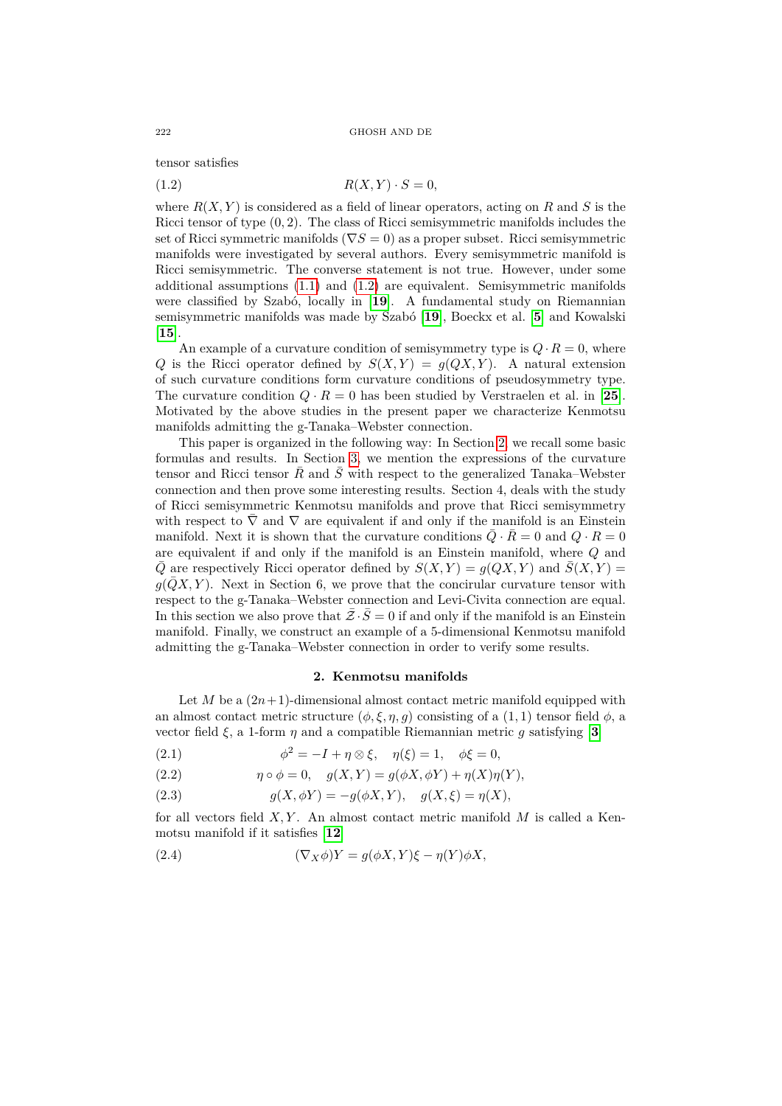tensor satisfies

<span id="page-1-0"></span>
$$
(1.2) \t\t R(X,Y) \cdot S = 0,
$$

where  $R(X, Y)$  is considered as a field of linear operators, acting on  $R$  and  $S$  is the Ricci tensor of type (0*,* 2). The class of Ricci semisymmetric manifolds includes the set of Ricci symmetric manifolds ( $\nabla S = 0$ ) as a proper subset. Ricci semisymmetric manifolds were investigated by several authors. Every semisymmetric manifold is Ricci semisymmetric. The converse statement is not true. However, under some additional assumptions  $(1.1)$  and  $(1.2)$  are equivalent. Semisymmetric manifolds were classified by Szabó, locally in [**[19](#page-9-6)**]. A fundamental study on Riemannian semisymmetric manifolds was made by Szabó [**[19](#page-9-6)**], Boeckx et al. [**[5](#page-8-1)**] and Kowalski [**[15](#page-9-7)**].

An example of a curvature condition of semisymmetry type is  $Q \cdot R = 0$ , where Q is the Ricci operator defined by  $S(X,Y) = g(QX,Y)$ . A natural extension of such curvature conditions form curvature conditions of pseudosymmetry type. The curvature condition  $Q \cdot R = 0$  has been studied by Verstraelen et al. in [[25](#page-9-8)]. Motivated by the above studies in the present paper we characterize Kenmotsu manifolds admitting the g-Tanaka–Webster connection.

This paper is organized in the following way: In Section [2,](#page-1-1) we recall some basic formulas and results. In Section [3,](#page-2-0) we mention the expressions of the curvature tensor and Ricci tensor  $R$  and  $S$  with respect to the generalized Tanaka–Webster connection and then prove some interesting results. Section 4, deals with the study of Ricci semisymmetric Kenmotsu manifolds and prove that Ricci semisymmetry with respect to  $\nabla$  and  $\nabla$  are equivalent if and only if the manifold is an Einstein manifold. Next it is shown that the curvature conditions  $\overline{Q} \cdot R = 0$  and  $Q \cdot R = 0$ are equivalent if and only if the manifold is an Einstein manifold, where  $Q$  and  $\overline{Q}$  are respectively Ricci operator defined by  $S(X, Y) = g(QX, Y)$  and  $\overline{S}(X, Y) = g(QX, Y)$  $q(QX, Y)$ . Next in Section 6, we prove that the concirular curvature tensor with respect to the g-Tanaka–Webster connection and Levi-Civita connection are equal. In this section we also prove that  $\bar{Z} \cdot \bar{S} = 0$  if and only if the manifold is an Einstein manifold. Finally, we construct an example of a 5-dimensional Kenmotsu manifold admitting the g-Tanaka–Webster connection in order to verify some results.

#### **2. Kenmotsu manifolds**

<span id="page-1-1"></span>Let M be a  $(2n+1)$ -dimensional almost contact metric manifold equipped with an almost contact metric structure  $(\phi, \xi, \eta, g)$  consisting of a  $(1, 1)$  tensor field  $\phi$ , a vector field  $\xi$ , a 1-form  $\eta$  and a compatible Riemannian metric g satisfying [[3](#page-8-2)]

<span id="page-1-2"></span>(2.1)  $\phi^2 = -I + \eta \otimes \xi, \quad \eta(\xi) = 1, \quad \phi\xi = 0,$ 

(2.2) 
$$
\eta \circ \phi = 0, \quad g(X, Y) = g(\phi X, \phi Y) + \eta(X)\eta(Y),
$$

(2.3) 
$$
g(X, \phi Y) = -g(\phi X, Y), \quad g(X, \xi) = \eta(X),
$$

for all vectors field  $X, Y$ . An almost contact metric manifold  $M$  is called a Kenmotsu manifold if it satisfies [**[12](#page-9-9)**]

(2.4) 
$$
(\nabla_X \phi)Y = g(\phi X, Y)\xi - \eta(Y)\phi X,
$$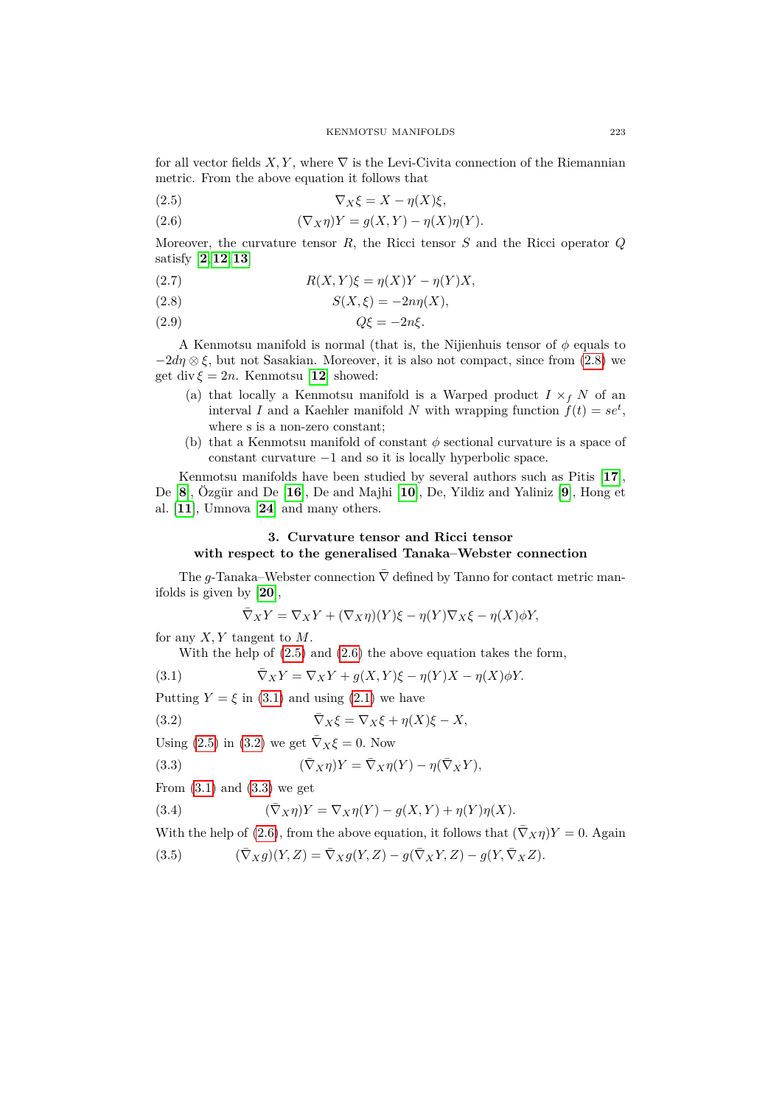for all vector fields  $X, Y$ , where  $\nabla$  is the Levi-Civita connection of the Riemannian metric. From the above equation it follows that

<span id="page-2-2"></span>
$$
(2.5) \t\t \nabla_X \xi = X - \eta(X)\xi,
$$

<span id="page-2-3"></span>(2.6) 
$$
(\nabla_X \eta)Y = g(X,Y) - \eta(X)\eta(Y).
$$

Moreover, the curvature tensor  $R$ , the Ricci tensor  $S$  and the Ricci operator  $Q$ satisfy [**[2](#page-8-3)**,**[12](#page-9-9)**,**[13](#page-9-10)**]

<span id="page-2-8"></span>
$$
(2.7) \t R(X,Y)\xi = \eta(X)Y - \eta(Y)X,
$$

<span id="page-2-1"></span>
$$
(2.8) \tS(X,\xi) = -2n\eta(X),
$$

$$
(2.9) \tQ\xi = -2n\xi.
$$

A Kenmotsu manifold is normal (that is, the Nijienhuis tensor of  $\phi$  equals to  $-2d\eta \otimes \xi$ , but not Sasakian. Moreover, it is also not compact, since from [\(2.8\)](#page-2-1) we get div  $\xi = 2n$ . Kenmotsu [[12](#page-9-9)] showed:

- (a) that locally a Kenmotsu manifold is a Warped product  $I \times_f N$  of an interval I and a Kaehler manifold N with wrapping function  $\dot{f}(t) = s e^t$ , where s is a non-zero constant;
- (b) that a Kenmotsu manifold of constant  $\phi$  sectional curvature is a space of constant curvature −1 and so it is locally hyperbolic space.

Kenmotsu manifolds have been studied by several authors such as Pitis [**[17](#page-9-11)**], De [**[8](#page-9-12)**], Özgür and De [**[16](#page-9-13)**], De and Majhi [**[10](#page-9-14)**], De, Yildiz and Yaliniz [**[9](#page-9-15)**], Hong et al. [**[11](#page-9-16)**], Umnova [**[24](#page-9-17)**] and many others.

## <span id="page-2-0"></span>**3. Curvature tensor and Ricci tensor with respect to the generalised Tanaka–Webster connection**

The g-Tanaka–Webster connection  $\bar{\nabla}$  defined by Tanno for contact metric manifolds is given by [**[20](#page-9-0)**],

<span id="page-2-5"></span><span id="page-2-4"></span>
$$
\overline{\nabla}_X Y = \nabla_X Y + (\nabla_X \eta)(Y)\xi - \eta(Y)\nabla_X \xi - \eta(X)\phi Y,
$$

for any  $X, Y$  tangent to  $M$ .

With the help of [\(2.5\)](#page-2-2) and [\(2.6\)](#page-2-3) the above equation takes the form,

(3.1) 
$$
\overline{\nabla}_X Y = \nabla_X Y + g(X, Y)\xi - \eta(Y)X - \eta(X)\phi Y.
$$

Putting  $Y = \xi$  in [\(3.1\)](#page-2-4) and using [\(2.1\)](#page-1-2) we have

(3.2) 
$$
\overline{\nabla}_X \xi = \nabla_X \xi + \eta(X)\xi - X,
$$

Using [\(2.5\)](#page-2-2) in [\(3.2\)](#page-2-5) we get  $\overline{\nabla}_X \xi = 0$ . Now

<span id="page-2-6"></span>(3.3) 
$$
(\bar{\nabla}_X \eta)Y = \bar{\nabla}_X \eta(Y) - \eta(\bar{\nabla}_X Y),
$$

From  $(3.1)$  and  $(3.3)$  we get

(3.4) 
$$
(\bar{\nabla}_X \eta)Y = \nabla_X \eta(Y) - g(X, Y) + \eta(Y)\eta(X).
$$

With the help of [\(2.6\)](#page-2-3), from the above equation, it follows that  $(\bar{\nabla}_X \eta)Y = 0$ . Again

<span id="page-2-7"></span>(3.5) 
$$
(\bar{\nabla}_X g)(Y,Z) = \bar{\nabla}_X g(Y,Z) - g(\bar{\nabla}_X Y, Z) - g(Y, \bar{\nabla}_X Z).
$$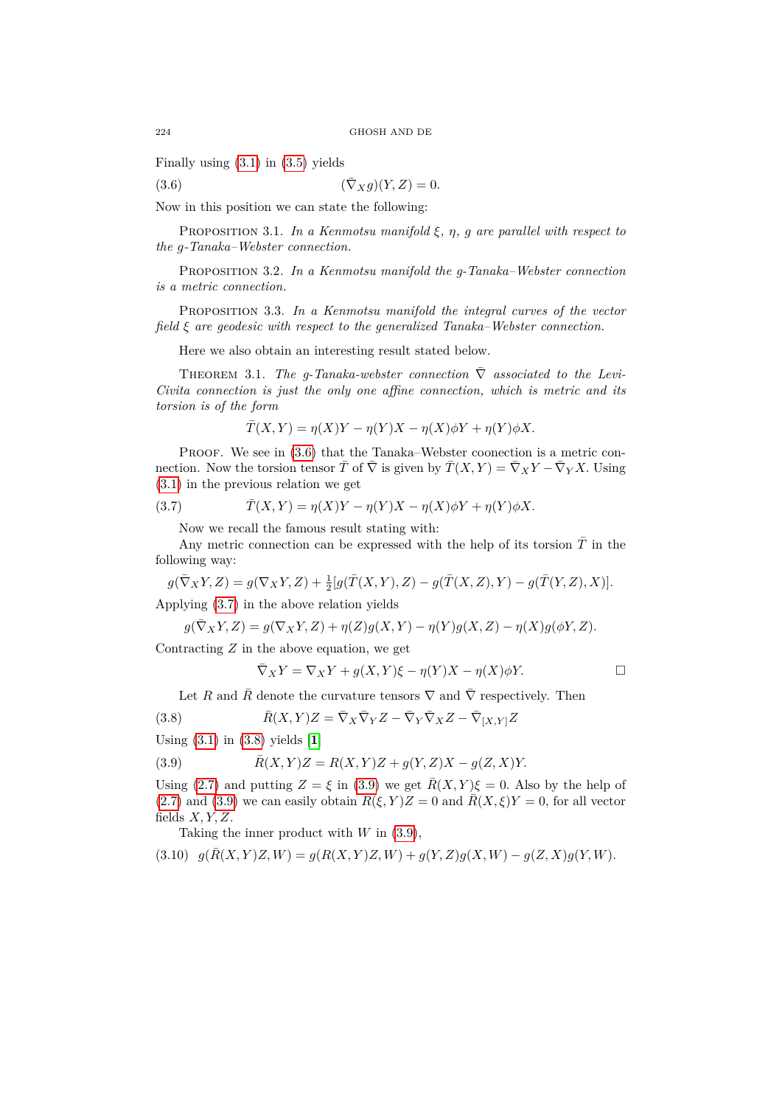Finally using [\(3.1\)](#page-2-4) in [\(3.5\)](#page-2-7) yields

<span id="page-3-0"></span>
$$
(3.6) \qquad (\bar{\nabla}_X g)(Y, Z) = 0.
$$

Now in this position we can state the following:

PROPOSITION 3.1. In a Kenmotsu manifold  $\xi$ ,  $\eta$ ,  $g$  are parallel with respect to *the*  $q$ -Tanaka–Webster connection.

Proposition 3.2. *In a Kenmotsu manifold the g-Tanaka–Webster connection is a metric connection.*

Proposition 3.3. *In a Kenmotsu manifold the integral curves of the vector field are geodesic with respect to the generalized Tanaka–Webster connection.*

Here we also obtain an interesting result stated below.

THEOREM 3.1. *The g-Tanaka-webster connection*  $\overline{\nabla}$  *associated to the Levi-Civita connection is just the only one affine connection, which is metric and its torsion is of the form*

<span id="page-3-1"></span>
$$
\overline{T}(X,Y) = \eta(X)Y - \eta(Y)X - \eta(X)\phi Y + \eta(Y)\phi X.
$$

PROOF. We see in  $(3.6)$  that the Tanaka–Webster coonection is a metric connection. Now the torsion tensor  $\bar{T}$  of  $\bar{\nabla}$  is given by  $\bar{T}(X,Y) = \bar{\nabla}_X Y - \bar{\nabla}_Y X$ . Using [\(3.1\)](#page-2-4) in the previous relation we get

(3.7) 
$$
\overline{T}(X,Y) = \eta(X)Y - \eta(Y)X - \eta(X)\phi Y + \eta(Y)\phi X.
$$

Now we recall the famous result stating with:

Any metric connection can be expressed with the help of its torsion  $\overline{T}$  in the following way:

$$
g(\bar{\nabla}_XY,Z)=g(\nabla_XY,Z)+\tfrac{1}{2}[g(\bar{T}(X,Y),Z)-g(\bar{T}(X,Z),Y)-g(\bar{T}(Y,Z),X)].
$$

Applying [\(3.7\)](#page-3-1) in the above relation yields

$$
g(\bar{\nabla}_X Y,Z) = g(\nabla_X Y,Z) + \eta(Z)g(X,Y) - \eta(Y)g(X,Z) - \eta(X)g(\phi Y,Z).
$$

Contracting  $Z$  in the above equation, we get

<span id="page-3-3"></span><span id="page-3-2"></span>
$$
\overline{\nabla}_X Y = \nabla_X Y + g(X, Y)\xi - \eta(Y)X - \eta(X)\phi Y.
$$

Let R and  $\overline{R}$  denote the curvature tensors  $\nabla$  and  $\overline{\nabla}$  respectively. Then

(3.8) 
$$
\bar{R}(X,Y)Z = \bar{\nabla}_X \bar{\nabla}_Y Z - \bar{\nabla}_Y \bar{\nabla}_X Z - \bar{\nabla}_{[X,Y]} Z
$$

Using [\(3.1\)](#page-2-4) in [\(3.8\)](#page-3-2) yields [**[1](#page-8-0)**]

(3.9) 
$$
\bar{R}(X,Y)Z = R(X,Y)Z + g(Y,Z)X - g(Z,X)Y.
$$

Using [\(2.7\)](#page-2-8) and putting  $Z = \xi$  in [\(3.9\)](#page-3-3) we get  $\bar{R}(X, Y)\xi = 0$ . Also by the help of [\(2.7\)](#page-2-8) and [\(3.9\)](#page-3-3) we can easily obtain  $\bar{R}(\xi, Y)Z = 0$  and  $\bar{R}(X,\xi)Y = 0$ , for all vector fields  $X, Y, Z$ .

<span id="page-3-4"></span>Taking the inner product with  $W$  in  $(3.9)$ ,

$$
(3.10) \quad g(\bar{R}(X,Y)Z,W) = g(R(X,Y)Z,W) + g(Y,Z)g(X,W) - g(Z,X)g(Y,W).
$$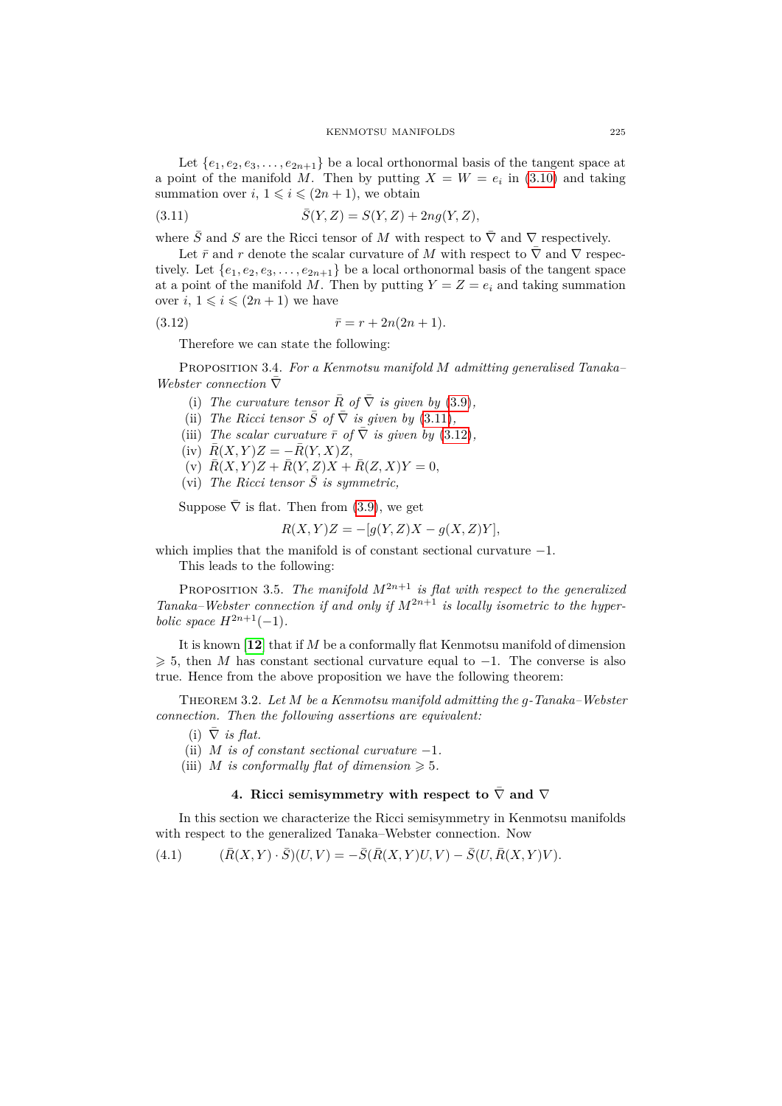Let  $\{e_1, e_2, e_3, \ldots, e_{2n+1}\}$  be a local orthonormal basis of the tangent space at a point of the manifold M. Then by putting  $X = W = e_i$  in [\(3.10\)](#page-3-4) and taking summation over  $i, 1 \leq i \leq (2n + 1)$ , we obtain

<span id="page-4-0"></span>(3.11) 
$$
\bar{S}(Y,Z) = S(Y,Z) + 2ng(Y,Z),
$$

where  $\bar{S}$  and  $S$  are the Ricci tensor of M with respect to  $\bar{\nabla}$  and  $\nabla$  respectively.

Let  $\bar{r}$  and  $r$  denote the scalar curvature of M with respect to  $\bar{\nabla}$  and  $\nabla$  respectively. Let  $\{e_1, e_2, e_3, \ldots, e_{2n+1}\}$  be a local orthonormal basis of the tangent space at a point of the manifold M. Then by putting  $Y = Z = e_i$  and taking summation over  $i, 1 \leq i \leq (2n + 1)$  we have

(3.12) 
$$
\bar{r} = r + 2n(2n + 1).
$$

<span id="page-4-1"></span>Therefore we can state the following:

<span id="page-4-3"></span>Proposition 3.4. *For a Kenmotsu manifold admitting generalised Tanaka– Webster connection*  $\bar ∇$ 

- (i) *The curvature tensor*  $\overline{R}$  *of*  $\overline{\nabla}$  *is given by* [\(3.9\)](#page-3-3)*,*
- (ii) *The Ricci tensor*  $\overline{S}$  *of*  $\overline{\nabla}$  *is given by* [\(3.11\)](#page-4-0)*,*
- (iii) *The scalar curvature*  $\bar{r}$  *of*  $\bar{\nabla}$  *is given by* [\(3.12\)](#page-4-1),
- $(i\text{v})$   $\bar{R}(X, Y)Z = -\bar{R}(Y, X)Z,$
- (v)  $\bar{R}(X, Y)Z + \bar{R}(Y, Z)X + \bar{R}(Z, X)Y = 0,$
- (vi) The Ricci tensor  $\overline{S}$  is symmetric,

Suppose  $\overline{\nabla}$  is flat. Then from [\(3.9\)](#page-3-3), we get

$$
R(X,Y)Z = -[g(Y,Z)X - g(X,Z)Y],
$$

which implies that the manifold is of constant sectional curvature  $-1$ . This leads to the following:

PROPOSITION 3.5. The manifold  $M^{2n+1}$  is flat with respect to the generalized *Tanaka–Webster connection if and only if*  $M^{2n+1}$  *is locally isometric to the hyperbolic space*  $H^{2n+1}(-1)$ *.* 

It is known [[12](#page-9-9)] that if M be a conformally flat Kenmotsu manifold of dimension  $\geq 5$ , then M has constant sectional curvature equal to -1. The converse is also true. Hence from the above proposition we have the following theorem:

<span id="page-4-2"></span>THEOREM 3.2. Let M be a Kenmotsu manifold admitting the  $a$ -Tanaka–Webster *connection. Then the following assertions are equivalent:*

 $(i)$   $\overline{\nabla}$  *is flat.* 

- (ii)  $M$  *is of constant sectional curvature*  $-1$ *.*
- (iii) *M* is conformally flat of dimension  $\geq 5$ .

### **4.** Ricci semisymmetry with respect to  $\overline{\nabla}$  and  $\overline{\nabla}$

In this section we characterize the Ricci semisymmetry in Kenmotsu manifolds with respect to the generalized Tanaka–Webster connection. Now

(4.1) 
$$
(\bar{R}(X,Y)\cdot\bar{S})(U,V) = -\bar{S}(\bar{R}(X,Y)U,V) - \bar{S}(U,\bar{R}(X,Y)V).
$$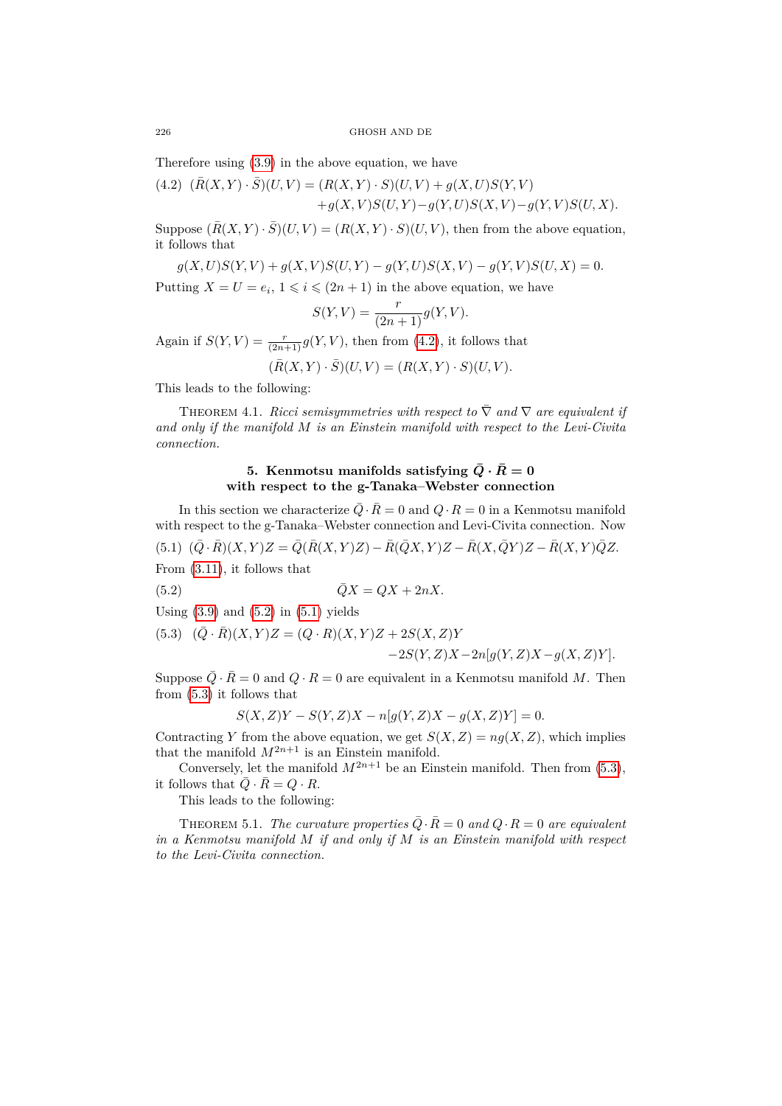226 GHOSH AND DE

Therefore using [\(3.9\)](#page-3-3) in the above equation, we have

<span id="page-5-0"></span>(4.2) 
$$
(\bar{R}(X,Y) \cdot \bar{S})(U,V) = (R(X,Y) \cdot S)(U,V) + g(X,U)S(Y,V)
$$
  
  $+ g(X,V)S(U,Y) - g(Y,U)S(X,V) - g(Y,V)S(U,X).$ 

Suppose  $(\bar{R}(X, Y) \cdot \bar{S})(U, V) = (R(X, Y) \cdot S)(U, V)$ , then from the above equation, it follows that

$$
g(X, U)S(Y, V) + g(X, V)S(U, Y) - g(Y, U)S(X, V) - g(Y, V)S(U, X) = 0.
$$

Putting  $X = U = e_i, 1 \leq i \leq (2n + 1)$  in the above equation, we have

$$
S(Y, V) = \frac{r}{(2n+1)}g(Y, V).
$$

Again if  $S(Y, V) = \frac{r}{(2n+1)} g(Y, V)$ , then from [\(4.2\)](#page-5-0), it follows that

$$
(\overline{R}(X,Y)\cdot\overline{S})(U,V)=(R(X,Y)\cdot S)(U,V).
$$

This leads to the following:

<span id="page-5-4"></span>THEOREM 4.1. *Ricci semisymmetries with respect to*  $\overline{\nabla}$  *and*  $\nabla$  *are equivalent if and only if the manifold is an Einstein manifold with respect to the Levi-Civita connection.*

## <span id="page-5-1"></span>**5.** Kenmotsu manifolds satisfying  $\overline{Q} \cdot \overline{R} = 0$ **with respect to the g-Tanaka–Webster connection**

<span id="page-5-2"></span>In this section we characterize  $\overline{Q} \cdot \overline{R} = 0$  and  $Q \cdot R = 0$  in a Kenmotsu manifold with respect to the g-Tanaka–Webster connection and Levi-Civita connection. Now  $(5.1)$   $(\bar{Q} \cdot \bar{R})(X,Y)Z = \bar{Q}(\bar{R}(X,Y)Z) - \bar{R}(\bar{Q}X,Y)Z - \bar{R}(X,\bar{Q}Y)Z - \bar{R}(X,Y)\bar{Q}Z.$ From [\(3.11\)](#page-4-0), it follows that

$$
\bar{Q}X = QX + 2nX.
$$

Using  $(3.9)$  and  $(5.2)$  in  $(5.1)$  yields

<span id="page-5-3"></span>(5.3) 
$$
(\bar{Q} \cdot \bar{R})(X, Y)Z = (Q \cdot R)(X, Y)Z + 2S(X, Z)Y
$$
  
-2S(Y, Z)X-2n[g(Y, Z)X-g(X, Z)Y].

Suppose  $\overline{Q} \cdot \overline{R} = 0$  and  $Q \cdot R = 0$  are equivalent in a Kenmotsu manifold M. Then from [\(5.3\)](#page-5-3) it follows that

$$
S(X,Z)Y - S(Y,Z)X - n[g(Y,Z)X - g(X,Z)Y] = 0.
$$

Contracting Y from the above equation, we get  $S(X, Z) = ng(X, Z)$ , which implies that the manifold  $M^{2n+1}$  is an Einstein manifold.

Conversely, let the manifold  $M^{2n+1}$  be an Einstein manifold. Then from [\(5.3\)](#page-5-3), it follows that  $\overline{Q} \cdot \overline{R} = Q \cdot R$ .

This leads to the following:

THEOREM 5.1. *The curvature properties*  $\overline{Q} \cdot \overline{R} = 0$  and  $Q \cdot R = 0$  are equivalent *in a Kenmotsu manifold if and only if is an Einstein manifold with respect to the Levi-Civita connection.*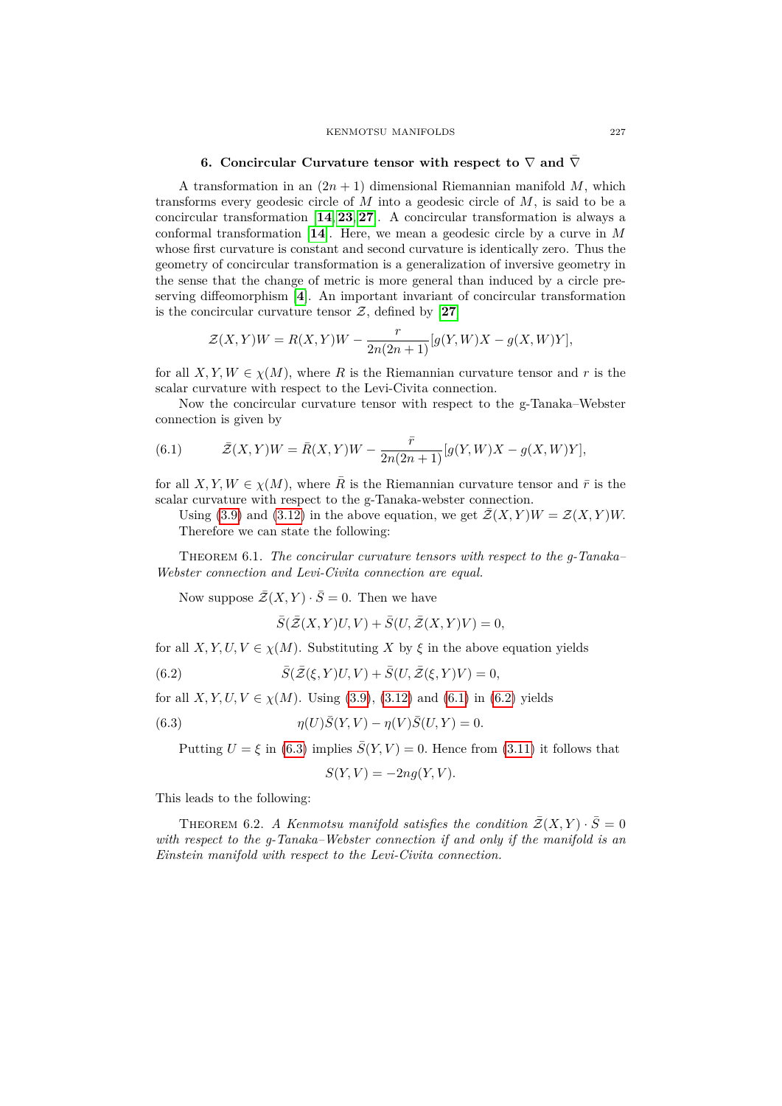#### KENMOTSU MANIFOLDS 227

### **6. Concircular Curvature tensor with respect to**  $\nabla$  and  $\overline{\nabla}$

A transformation in an  $(2n + 1)$  dimensional Riemannian manifold M, which transforms every geodesic circle of  $M$  into a geodesic circle of  $M$ , is said to be a concircular transformation [**[14](#page-9-18)**, **[23](#page-9-19)**, **[27](#page-9-20)**]. A concircular transformation is always a conformal transformation  $[14]$  $[14]$  $[14]$ . Here, we mean a geodesic circle by a curve in  $M$ whose first curvature is constant and second curvature is identically zero. Thus the geometry of concircular transformation is a generalization of inversive geometry in the sense that the change of metric is more general than induced by a circle preserving diffeomorphism [**[4](#page-8-4)**]. An important invariant of concircular transformation is the concircular curvature tensor  $\mathcal{Z}$ , defined by [[27](#page-9-20)]

$$
\mathcal{Z}(X,Y)W = R(X,Y)W - \frac{r}{2n(2n+1)}[g(Y,W)X - g(X,W)Y],
$$

for all  $X, Y, W \in \chi(M)$ , where R is the Riemannian curvature tensor and r is the scalar curvature with respect to the Levi-Civita connection.

Now the concircular curvature tensor with respect to the g-Tanaka–Webster connection is given by

<span id="page-6-0"></span>(6.1) 
$$
\bar{Z}(X,Y)W = \bar{R}(X,Y)W - \frac{\bar{r}}{2n(2n+1)}[g(Y,W)X - g(X,W)Y],
$$

for all *X*, *Y*, *W*  $\in \chi(M)$ , where  $\overline{R}$  is the Riemannian curvature tensor and  $\overline{r}$  is the scalar curvature with respect to the g-Tanaka-webster connection.

Using [\(3.9\)](#page-3-3) and [\(3.12\)](#page-4-1) in the above equation, we get  $\mathcal{Z}(X, Y)W = \mathcal{Z}(X, Y)W$ . Therefore we can state the following:

Theorem 6.1. *The concirular curvature tensors with respect to the g-Tanaka– Webster connection and Levi-Civita connection are equal.*

Now suppose  $\bar{\mathcal{Z}}(X, Y) \cdot \bar{S} = 0$ . Then we have

<span id="page-6-1"></span>
$$
\overline{S}(\overline{\mathcal{Z}}(X,Y)U,V) + \overline{S}(U,\overline{\mathcal{Z}}(X,Y)V) = 0,
$$

for all *X, Y, U, V*  $\in \chi(M)$ . Substituting *X* by  $\xi$  in the above equation yields

(6.2) 
$$
\bar{S}(\bar{\mathcal{Z}}(\xi,Y)U,V) + \bar{S}(U,\bar{\mathcal{Z}}(\xi,Y)V) = 0,
$$

for all *X*, *Y*, *U*, *V*  $\in \chi(M)$ . Using [\(3.9\)](#page-3-3), [\(3.12\)](#page-4-1) and [\(6.1\)](#page-6-0) in [\(6.2\)](#page-6-1) yields

(6.3) 
$$
\eta(U)\bar{S}(Y,V) - \eta(V)\bar{S}(U,Y) = 0.
$$

Putting  $U = \xi$  in [\(6.3\)](#page-6-2) implies  $\overline{S}(Y, V) = 0$ . Hence from [\(3.11\)](#page-4-0) it follows that

<span id="page-6-2"></span>
$$
S(Y, V) = -2ng(Y, V).
$$

This leads to the following:

THEOREM 6.2. *A Kenmotsu manifold satisfies the condition*  $\mathcal{Z}(X, Y) \cdot S = 0$ *with respect to the g-Tanaka–Webster connection if and only if the manifold is an Einstein manifold with respect to the Levi-Civita connection.*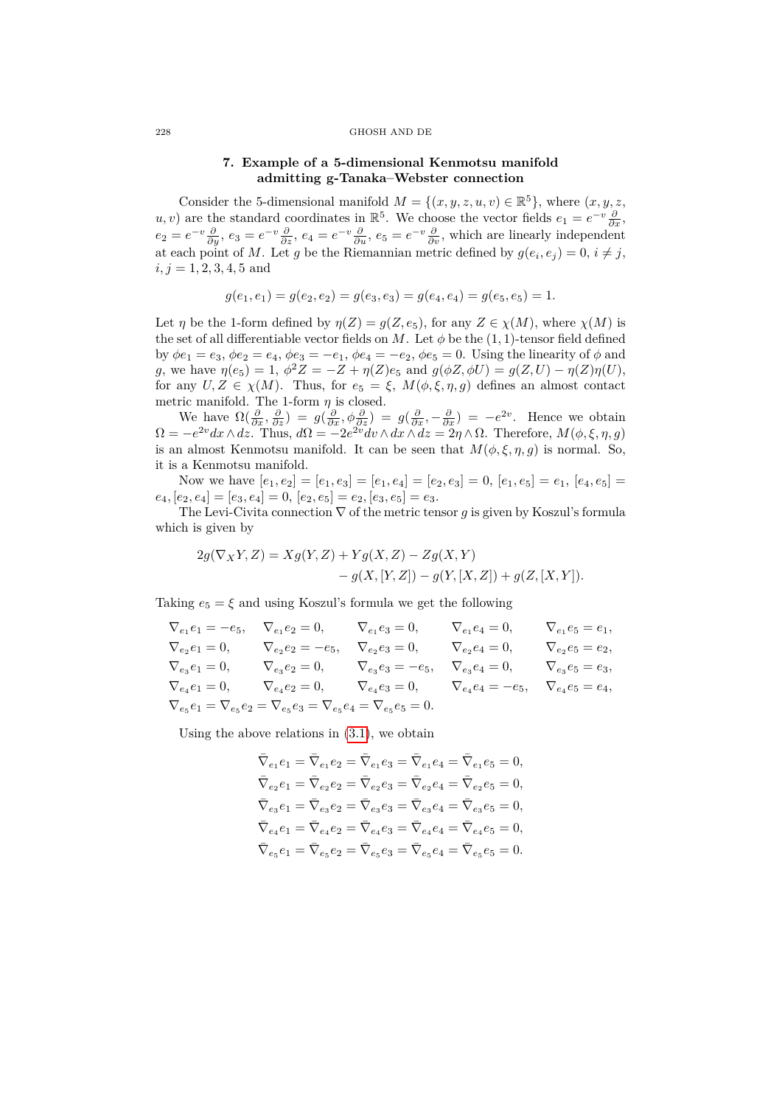#### 228 GHOSH AND DE

## **7. Example of a 5-dimensional Kenmotsu manifold admitting g-Tanaka–Webster connection**

Consider the 5-dimensional manifold  $M = \{(x, y, z, u, v) \in \mathbb{R}^5\}$ , where  $(x, y, z,$ *u*, *v*) are the standard coordinates in  $\mathbb{R}^5$ . We choose the vector fields  $e_1 = e^{-v} \frac{\partial}{\partial x}$ ,  $e_2 = e^{-v} \frac{\partial}{\partial y}, e_3 = e^{-v} \frac{\partial}{\partial z}, e_4 = e^{-v} \frac{\partial}{\partial u}, e_5 = e^{-v} \frac{\partial}{\partial v}$ , which are linearly independent at each point of M. Let g be the Riemannian metric defined by  $g(e_i, e_j) = 0, i \neq j$ ,  $i, j = 1, 2, 3, 4, 5$  and

$$
g(e_1, e_1) = g(e_2, e_2) = g(e_3, e_3) = g(e_4, e_4) = g(e_5, e_5) = 1.
$$

Let  $\eta$  be the 1-form defined by  $\eta(Z) = g(Z, e_5)$ , for any  $Z \in \chi(M)$ , where  $\chi(M)$  is the set of all differentiable vector fields on M. Let  $\phi$  be the (1, 1)-tensor field defined by  $\phi e_1 = e_3$ ,  $\phi e_2 = e_4$ ,  $\phi e_3 = -e_1$ ,  $\phi e_4 = -e_2$ ,  $\phi e_5 = 0$ . Using the linearity of  $\phi$  and g, we have  $\eta(e_5) = 1, \ \phi^2 Z = -Z + \eta(Z)e_5$  and  $g(\phi Z, \phi U) = g(Z, U) - \eta(Z)\eta(U)$ , for any  $U, Z \in \chi(M)$ . Thus, for  $e_5 = \xi, M(\phi, \xi, \eta, g)$  defines an almost contact metric manifold. The 1-form  $\eta$  is closed.

We have  $\Omega(\frac{\partial}{\partial x}, \frac{\partial}{\partial z}) = g(\frac{\partial}{\partial x}, \phi \frac{\partial}{\partial z}) = g(\frac{\partial}{\partial x}, -\frac{\partial}{\partial x}) = -e^{2v}$ . Hence we obtain  $\Omega = -e^{2v} dx \wedge dz$ . Thus,  $d\Omega = -2e^{2v} dv \wedge dx \wedge dz = 2\eta \wedge \Omega$ . Therefore,  $M(\phi, \xi, \eta, g)$ is an almost Kenmotsu manifold. It can be seen that  $M(\phi, \xi, \eta, g)$  is normal. So, it is a Kenmotsu manifold.

Now we have  $[e_1, e_2] = [e_1, e_3] = [e_1, e_4] = [e_2, e_3] = 0$ ,  $[e_1, e_5] = e_1$ ,  $[e_4, e_5] =$  $e_4, [e_2, e_4] = [e_3, e_4] = 0, [e_2, e_5] = e_2, [e_3, e_5] = e_3.$ 

The Levi-Civita connection  $\nabla$  of the metric tensor g is given by Koszul's formula which is given by

$$
2g(\nabla_X Y, Z) = Xg(Y, Z) + Yg(X, Z) - Zg(X, Y) - g(X, [Y, Z]) - g(Y, [X, Z]) + g(Z, [X, Y]).
$$

Taking  $e_5 = \xi$  and using Koszul's formula we get the following

| $\nabla_{e_1} e_1 = -e_5,$                                                                     | $\nabla_{e_1}e_2=0,$    | $V_{e_1}e_3=0,$           | $V_{e_1}e_4=0,$      | $\nabla_{e_1}e_5=e_1,$ |
|------------------------------------------------------------------------------------------------|-------------------------|---------------------------|----------------------|------------------------|
| $V_{e_2}e_1 = 0,$                                                                              | $V_{e_2}e_2 = -e_5,$    | $V_{e_2}e_3=0,$           | $V_{e_2}e_4=0,$      | $V_{e_2}e_5=e_2,$      |
| $\nabla_{e_3}e_1=0,$                                                                           | $\nabla_{e_3}e_2=0,$    | $\nabla_{e_3}e_3 = -e_5,$ | $V_{e_3}e_4=0,$      | $V_{e_3}e_5=e_3,$      |
| $\nabla_{e_4} e_1 = 0,$                                                                        | $\nabla_{e_4} e_2 = 0,$ | $\nabla_{e_4} e_3 = 0,$   | $V_{e_4}e_4 = -e_5,$ | $V_{e_4}e_5=e_4,$      |
| $\nabla_{e_5}e_1 = \nabla_{e_5}e_2 = \nabla_{e_5}e_3 = \nabla_{e_5}e_4 = \nabla_{e_5}e_5 = 0.$ |                         |                           |                      |                        |

Using the above relations in [\(3.1\)](#page-2-4), we obtain

$$
\begin{aligned} \bar{\nabla}_{e_1} e_1 &= \bar{\nabla}_{e_1} e_2 = \bar{\nabla}_{e_1} e_3 = \bar{\nabla}_{e_1} e_4 = \bar{\nabla}_{e_1} e_5 = 0, \\ \bar{\nabla}_{e_2} e_1 &= \bar{\nabla}_{e_2} e_2 = \bar{\nabla}_{e_2} e_3 = \bar{\nabla}_{e_2} e_4 = \bar{\nabla}_{e_2} e_5 = 0, \\ \bar{\nabla}_{e_3} e_1 &= \bar{\nabla}_{e_3} e_2 = \bar{\nabla}_{e_3} e_3 = \bar{\nabla}_{e_3} e_4 = \bar{\nabla}_{e_3} e_5 = 0, \\ \bar{\nabla}_{e_4} e_1 &= \bar{\nabla}_{e_4} e_2 = \bar{\nabla}_{e_4} e_3 = \bar{\nabla}_{e_4} e_4 = \bar{\nabla}_{e_4} e_5 = 0, \\ \bar{\nabla}_{e_5} e_1 &= \bar{\nabla}_{e_5} e_2 = \bar{\nabla}_{e_5} e_3 = \bar{\nabla}_{e_5} e_4 = \bar{\nabla}_{e_5} e_5 = 0. \end{aligned}
$$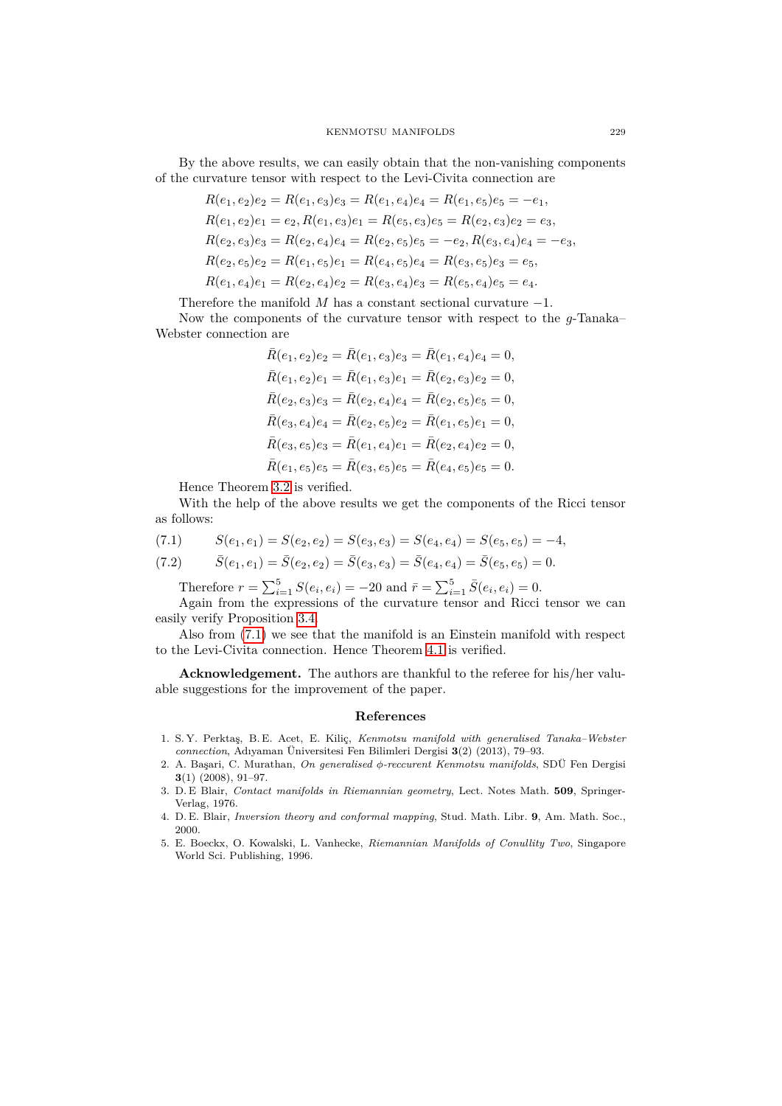By the above results, we can easily obtain that the non-vanishing components of the curvature tensor with respect to the Levi-Civita connection are

$$
R(e_1, e_2)e_2 = R(e_1, e_3)e_3 = R(e_1, e_4)e_4 = R(e_1, e_5)e_5 = -e_1,
$$
  
\n
$$
R(e_1, e_2)e_1 = e_2, R(e_1, e_3)e_1 = R(e_5, e_3)e_5 = R(e_2, e_3)e_2 = e_3,
$$
  
\n
$$
R(e_2, e_3)e_3 = R(e_2, e_4)e_4 = R(e_2, e_5)e_5 = -e_2, R(e_3, e_4)e_4 = -e_3,
$$
  
\n
$$
R(e_2, e_5)e_2 = R(e_1, e_5)e_1 = R(e_4, e_5)e_4 = R(e_3, e_5)e_3 = e_5,
$$
  
\n
$$
R(e_1, e_4)e_1 = R(e_2, e_4)e_2 = R(e_3, e_4)e_3 = R(e_5, e_4)e_5 = e_4.
$$

Therefore the manifold  $M$  has a constant sectional curvature  $-1$ .

Now the components of the curvature tensor with respect to the  $g$ -Tanaka– Webster connection are

$$
\bar{R}(e_1, e_2)e_2 = \bar{R}(e_1, e_3)e_3 = \bar{R}(e_1, e_4)e_4 = 0,
$$
  
\n
$$
\bar{R}(e_1, e_2)e_1 = \bar{R}(e_1, e_3)e_1 = \bar{R}(e_2, e_3)e_2 = 0,
$$
  
\n
$$
\bar{R}(e_2, e_3)e_3 = \bar{R}(e_2, e_4)e_4 = \bar{R}(e_2, e_5)e_5 = 0,
$$
  
\n
$$
\bar{R}(e_3, e_4)e_4 = \bar{R}(e_2, e_5)e_2 = \bar{R}(e_1, e_5)e_1 = 0,
$$
  
\n
$$
\bar{R}(e_3, e_5)e_3 = \bar{R}(e_1, e_4)e_1 = \bar{R}(e_2, e_4)e_2 = 0,
$$
  
\n
$$
\bar{R}(e_1, e_5)e_5 = \bar{R}(e_3, e_5)e_5 = \bar{R}(e_4, e_5)e_5 = 0.
$$

Hence Theorem [3.2](#page-4-2) is verified.

With the help of the above results we get the components of the Ricci tensor as follows:

<span id="page-8-5"></span>
$$
(7.1) \qquad S(e_1, e_1) = S(e_2, e_2) = S(e_3, e_3) = S(e_4, e_4) = S(e_5, e_5) = -4,
$$

(7.2) 
$$
\bar{S}(e_1, e_1) = \bar{S}(e_2, e_2) = \bar{S}(e_3, e_3) = \bar{S}(e_4, e_4) = \bar{S}(e_5, e_5) = 0.
$$

Therefore  $r = \sum_{i=1}^{5} S(e_i, e_i) = -20$  and  $\bar{r} = \sum_{i=1}^{5} \bar{S}(e_i, e_i) = 0$ .

Again from the expressions of the curvature tensor and Ricci tensor we can easily verify Proposition [3.4.](#page-4-3)

Also from [\(7.1\)](#page-8-5) we see that the manifold is an Einstein manifold with respect to the Levi-Civita connection. Hence Theorem [4.1](#page-5-4) is verified.

**Acknowledgement.** The authors are thankful to the referee for his/her valuable suggestions for the improvement of the paper.

## **References**

- <span id="page-8-0"></span>1. S. Y. Perktaş, B. E. Acet, E. Kiliç, *Kenmotsu manifold with generalised Tanaka–Webster connection*, Adıyaman Üniversitesi Fen Bilimleri Dergisi **3**(2) (2013), 79–93.
- <span id="page-8-3"></span>2. A. Başari, C. Murathan, *On generalised -reccurent Kenmotsu manifolds*, SDÜ Fen Dergisi **3**(1) (2008), 91–97.
- <span id="page-8-2"></span>3. D. E Blair, *Contact manifolds in Riemannian geometry*, Lect. Notes Math. **509**, Springer-Verlag, 1976.
- <span id="page-8-4"></span>4. D. E. Blair, *Inversion theory and conformal mapping*, Stud. Math. Libr. **9**, Am. Math. Soc., 2000.
- <span id="page-8-1"></span>5. E. Boeckx, O. Kowalski, L. Vanhecke, *Riemannian Manifolds of Conullity Two*, Singapore World Sci. Publishing, 1996.